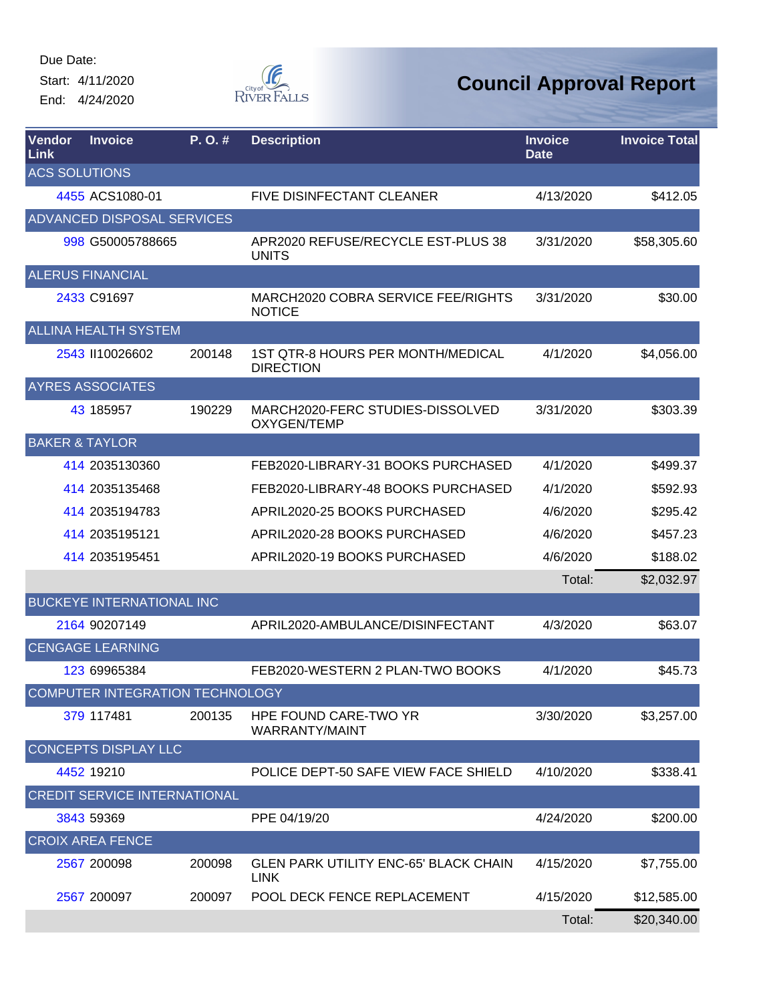Start: 4/11/2020 End: 4/24/2020



| Vendor<br>Link       | <b>Invoice</b>                      | P.O.#  | <b>Description</b>                                          | <b>Invoice</b><br><b>Date</b> | <b>Invoice Total</b> |
|----------------------|-------------------------------------|--------|-------------------------------------------------------------|-------------------------------|----------------------|
| <b>ACS SOLUTIONS</b> |                                     |        |                                                             |                               |                      |
|                      | 4455 ACS1080-01                     |        | <b>FIVE DISINFECTANT CLEANER</b>                            | 4/13/2020                     | \$412.05             |
|                      | <b>ADVANCED DISPOSAL SERVICES</b>   |        |                                                             |                               |                      |
|                      | 998 G50005788665                    |        | APR2020 REFUSE/RECYCLE EST-PLUS 38<br><b>UNITS</b>          | 3/31/2020                     | \$58,305.60          |
|                      | <b>ALERUS FINANCIAL</b>             |        |                                                             |                               |                      |
|                      | 2433 C91697                         |        | MARCH2020 COBRA SERVICE FEE/RIGHTS<br><b>NOTICE</b>         | 3/31/2020                     | \$30.00              |
|                      | <b>ALLINA HEALTH SYSTEM</b>         |        |                                                             |                               |                      |
|                      | 2543 II10026602                     | 200148 | 1ST QTR-8 HOURS PER MONTH/MEDICAL<br><b>DIRECTION</b>       | 4/1/2020                      | \$4,056.00           |
|                      | <b>AYRES ASSOCIATES</b>             |        |                                                             |                               |                      |
|                      | 43 185957                           | 190229 | MARCH2020-FERC STUDIES-DISSOLVED<br>OXYGEN/TEMP             | 3/31/2020                     | \$303.39             |
|                      | <b>BAKER &amp; TAYLOR</b>           |        |                                                             |                               |                      |
|                      | 414 2035130360                      |        | FEB2020-LIBRARY-31 BOOKS PURCHASED                          | 4/1/2020                      | \$499.37             |
|                      | 414 2035135468                      |        | FEB2020-LIBRARY-48 BOOKS PURCHASED                          | 4/1/2020                      | \$592.93             |
|                      | 414 2035194783                      |        | APRIL2020-25 BOOKS PURCHASED                                | 4/6/2020                      | \$295.42             |
|                      | 414 2035195121                      |        | APRIL2020-28 BOOKS PURCHASED                                | 4/6/2020                      | \$457.23             |
|                      | 414 2035195451                      |        | APRIL2020-19 BOOKS PURCHASED                                | 4/6/2020                      | \$188.02             |
|                      |                                     |        |                                                             | Total:                        | \$2,032.97           |
|                      | <b>BUCKEYE INTERNATIONAL INC</b>    |        |                                                             |                               |                      |
|                      | 2164 90207149                       |        | APRIL2020-AMBULANCE/DISINFECTANT                            | 4/3/2020                      | \$63.07              |
|                      | <b>CENGAGE LEARNING</b>             |        |                                                             |                               |                      |
|                      | 123 69965384                        |        | FEB2020-WESTERN 2 PLAN-TWO BOOKS                            | 4/1/2020                      | \$45.73              |
|                      | COMPUTER INTEGRATION TECHNOLOGY     |        |                                                             |                               |                      |
|                      | 379 117481                          | 200135 | HPE FOUND CARE-TWO YR<br>WARRANTY/MAINT                     | 3/30/2020                     | \$3,257.00           |
|                      | <b>CONCEPTS DISPLAY LLC</b>         |        |                                                             |                               |                      |
|                      | 4452 19210                          |        | POLICE DEPT-50 SAFE VIEW FACE SHIELD                        | 4/10/2020                     | \$338.41             |
|                      | <b>CREDIT SERVICE INTERNATIONAL</b> |        |                                                             |                               |                      |
|                      | 3843 59369                          |        | PPE 04/19/20                                                | 4/24/2020                     | \$200.00             |
|                      | <b>CROIX AREA FENCE</b>             |        |                                                             |                               |                      |
|                      | 2567 200098                         | 200098 | <b>GLEN PARK UTILITY ENC-65' BLACK CHAIN</b><br><b>LINK</b> | 4/15/2020                     | \$7,755.00           |
|                      | 2567 200097                         | 200097 | POOL DECK FENCE REPLACEMENT                                 | 4/15/2020                     | \$12,585.00          |
|                      |                                     |        |                                                             | Total:                        | \$20,340.00          |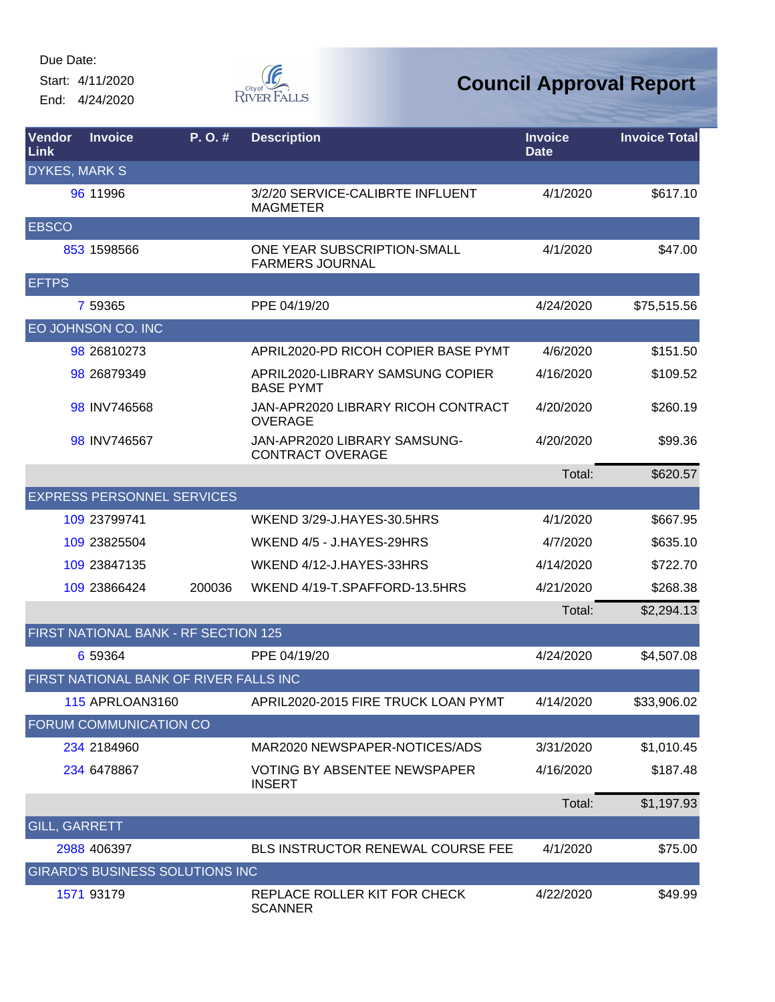Start: 4/11/2020 End: 4/24/2020



| <b>Vendor</b><br><b>Link</b> | <b>Invoice</b>                         | $P. O.$ # | <b>Description</b>                                      | <b>Invoice</b><br><b>Date</b> | <b>Invoice Total</b> |
|------------------------------|----------------------------------------|-----------|---------------------------------------------------------|-------------------------------|----------------------|
| <b>DYKES, MARK S</b>         |                                        |           |                                                         |                               |                      |
|                              | 96 11996                               |           | 3/2/20 SERVICE-CALIBRTE INFLUENT<br><b>MAGMETER</b>     | 4/1/2020                      | \$617.10             |
| <b>EBSCO</b>                 |                                        |           |                                                         |                               |                      |
|                              | 853 1598566                            |           | ONE YEAR SUBSCRIPTION-SMALL<br><b>FARMERS JOURNAL</b>   | 4/1/2020                      | \$47.00              |
| <b>EFTPS</b>                 |                                        |           |                                                         |                               |                      |
|                              | 7 59365                                |           | PPE 04/19/20                                            | 4/24/2020                     | \$75,515.56          |
|                              | EO JOHNSON CO. INC                     |           |                                                         |                               |                      |
|                              | 98 26810273                            |           | APRIL2020-PD RICOH COPIER BASE PYMT                     | 4/6/2020                      | \$151.50             |
|                              | 98 26879349                            |           | APRIL2020-LIBRARY SAMSUNG COPIER<br><b>BASE PYMT</b>    | 4/16/2020                     | \$109.52             |
|                              | 98 INV746568                           |           | JAN-APR2020 LIBRARY RICOH CONTRACT<br><b>OVERAGE</b>    | 4/20/2020                     | \$260.19             |
|                              | 98 INV746567                           |           | JAN-APR2020 LIBRARY SAMSUNG-<br><b>CONTRACT OVERAGE</b> | 4/20/2020                     | \$99.36              |
|                              |                                        |           |                                                         | Total:                        | \$620.57             |
|                              | <b>EXPRESS PERSONNEL SERVICES</b>      |           |                                                         |                               |                      |
|                              | 109 23799741                           |           | WKEND 3/29-J.HAYES-30.5HRS                              | 4/1/2020                      | \$667.95             |
|                              | 109 23825504                           |           | WKEND 4/5 - J.HAYES-29HRS                               | 4/7/2020                      | \$635.10             |
|                              | 109 23847135                           |           | WKEND 4/12-J.HAYES-33HRS                                | 4/14/2020                     | \$722.70             |
|                              | 109 23866424                           | 200036    | WKEND 4/19-T.SPAFFORD-13.5HRS                           | 4/21/2020                     | \$268.38             |
|                              |                                        |           |                                                         | Total:                        | \$2,294.13           |
|                              | FIRST NATIONAL BANK - RF SECTION 125   |           |                                                         |                               |                      |
|                              | 6 59364                                |           | PPE 04/19/20                                            | 4/24/2020                     | \$4,507.08           |
|                              | FIRST NATIONAL BANK OF RIVER FALLS INC |           |                                                         |                               |                      |
|                              | <b>115 APRLOAN3160</b>                 |           | APRIL2020-2015 FIRE TRUCK LOAN PYMT                     | 4/14/2020                     | \$33,906.02          |
|                              | FORUM COMMUNICATION CO                 |           |                                                         |                               |                      |
|                              | 234 2184960                            |           | MAR2020 NEWSPAPER-NOTICES/ADS                           | 3/31/2020                     | \$1,010.45           |
|                              | 234 6478867                            |           | <b>VOTING BY ABSENTEE NEWSPAPER</b><br><b>INSERT</b>    | 4/16/2020                     | \$187.48             |
|                              |                                        |           |                                                         | Total:                        | \$1,197.93           |
| <b>GILL, GARRETT</b>         |                                        |           |                                                         |                               |                      |
|                              | 2988 406397                            |           | BLS INSTRUCTOR RENEWAL COURSE FEE                       | 4/1/2020                      | \$75.00              |
|                              | <b>GIRARD'S BUSINESS SOLUTIONS INC</b> |           |                                                         |                               |                      |
|                              | 1571 93179                             |           | REPLACE ROLLER KIT FOR CHECK<br><b>SCANNER</b>          | 4/22/2020                     | \$49.99              |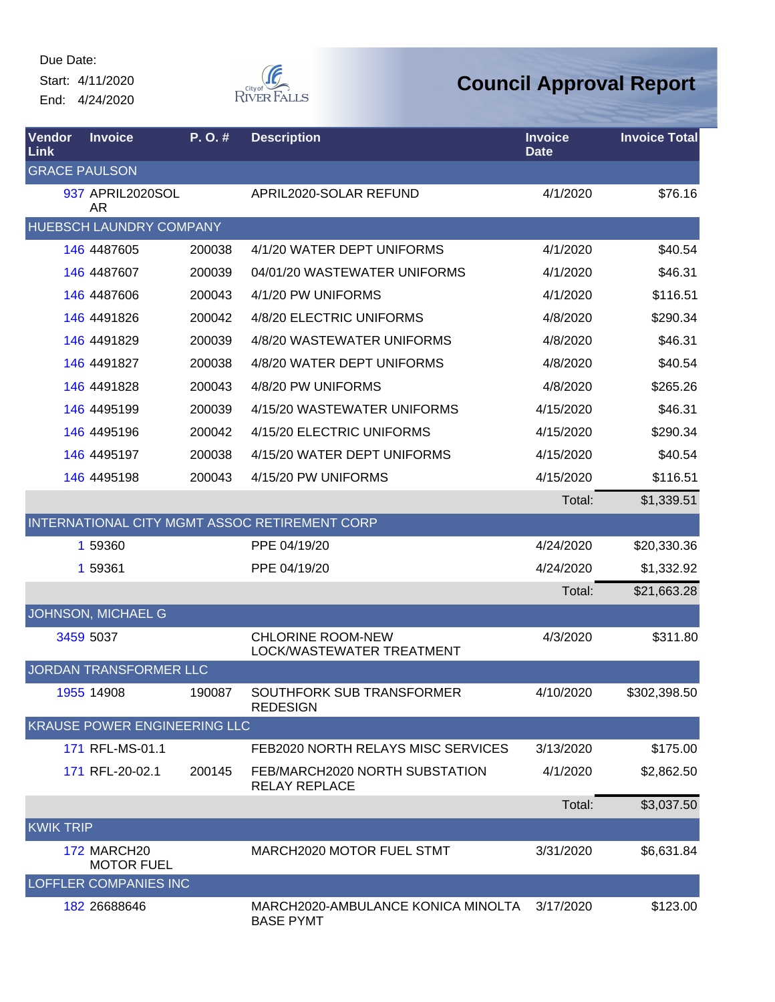Start: 4/11/2020 End: 4/24/2020



| <b>Vendor</b><br>Link | <b>Invoice</b>                      | P. O. # | <b>Description</b>                                     | <b>Invoice</b><br><b>Date</b> | <b>Invoice Total</b> |
|-----------------------|-------------------------------------|---------|--------------------------------------------------------|-------------------------------|----------------------|
| <b>GRACE PAULSON</b>  |                                     |         |                                                        |                               |                      |
|                       | 937 APRIL2020SOL<br><b>AR</b>       |         | APRIL2020-SOLAR REFUND                                 | 4/1/2020                      | \$76.16              |
|                       | HUEBSCH LAUNDRY COMPANY             |         |                                                        |                               |                      |
|                       | 146 4487605                         | 200038  | 4/1/20 WATER DEPT UNIFORMS                             | 4/1/2020                      | \$40.54              |
|                       | 146 4487607                         | 200039  | 04/01/20 WASTEWATER UNIFORMS                           | 4/1/2020                      | \$46.31              |
|                       | 146 4487606                         | 200043  | 4/1/20 PW UNIFORMS                                     | 4/1/2020                      | \$116.51             |
|                       | 146 4491826                         | 200042  | 4/8/20 ELECTRIC UNIFORMS                               | 4/8/2020                      | \$290.34             |
|                       | 146 4491829                         | 200039  | 4/8/20 WASTEWATER UNIFORMS                             | 4/8/2020                      | \$46.31              |
|                       | 146 4491827                         | 200038  | 4/8/20 WATER DEPT UNIFORMS                             | 4/8/2020                      | \$40.54              |
|                       | 146 4491828                         | 200043  | 4/8/20 PW UNIFORMS                                     | 4/8/2020                      | \$265.26             |
|                       | 146 4495199                         | 200039  | 4/15/20 WASTEWATER UNIFORMS                            | 4/15/2020                     | \$46.31              |
|                       | 146 4495196                         | 200042  | 4/15/20 ELECTRIC UNIFORMS                              | 4/15/2020                     | \$290.34             |
|                       | 146 4495197                         | 200038  | 4/15/20 WATER DEPT UNIFORMS                            | 4/15/2020                     | \$40.54              |
|                       | 146 4495198                         | 200043  | 4/15/20 PW UNIFORMS                                    | 4/15/2020                     | \$116.51             |
|                       |                                     |         |                                                        | Total:                        | \$1,339.51           |
|                       |                                     |         | INTERNATIONAL CITY MGMT ASSOC RETIREMENT CORP          |                               |                      |
|                       | 1 59360                             |         | PPE 04/19/20                                           | 4/24/2020                     | \$20,330.36          |
|                       | 1 59361                             |         | PPE 04/19/20                                           | 4/24/2020                     | \$1,332.92           |
|                       |                                     |         |                                                        | Total:                        | \$21,663.28          |
|                       | JOHNSON, MICHAEL G                  |         |                                                        |                               |                      |
|                       | 3459 5037                           |         | <b>CHLORINE ROOM-NEW</b><br>LOCK/WASTEWATER TREATMENT  | 4/3/2020                      | \$311.80             |
|                       | JORDAN TRANSFORMER LLC              |         |                                                        |                               |                      |
|                       | 1955 14908                          | 190087  | SOUTHFORK SUB TRANSFORMER<br><b>REDESIGN</b>           | 4/10/2020                     | \$302,398.50         |
|                       | <b>KRAUSE POWER ENGINEERING LLC</b> |         |                                                        |                               |                      |
|                       | 171 RFL-MS-01.1                     |         | FEB2020 NORTH RELAYS MISC SERVICES                     | 3/13/2020                     | \$175.00             |
|                       | 171 RFL-20-02.1                     | 200145  | FEB/MARCH2020 NORTH SUBSTATION<br><b>RELAY REPLACE</b> | 4/1/2020                      | \$2,862.50           |
|                       |                                     |         |                                                        | Total:                        | \$3,037.50           |
| <b>KWIK TRIP</b>      |                                     |         |                                                        |                               |                      |
|                       | 172 MARCH20<br><b>MOTOR FUEL</b>    |         | MARCH2020 MOTOR FUEL STMT                              | 3/31/2020                     | \$6,631.84           |
|                       | <b>LOFFLER COMPANIES INC</b>        |         |                                                        |                               |                      |
|                       | 182 26688646                        |         | MARCH2020-AMBULANCE KONICA MINOLTA<br><b>BASE PYMT</b> | 3/17/2020                     | \$123.00             |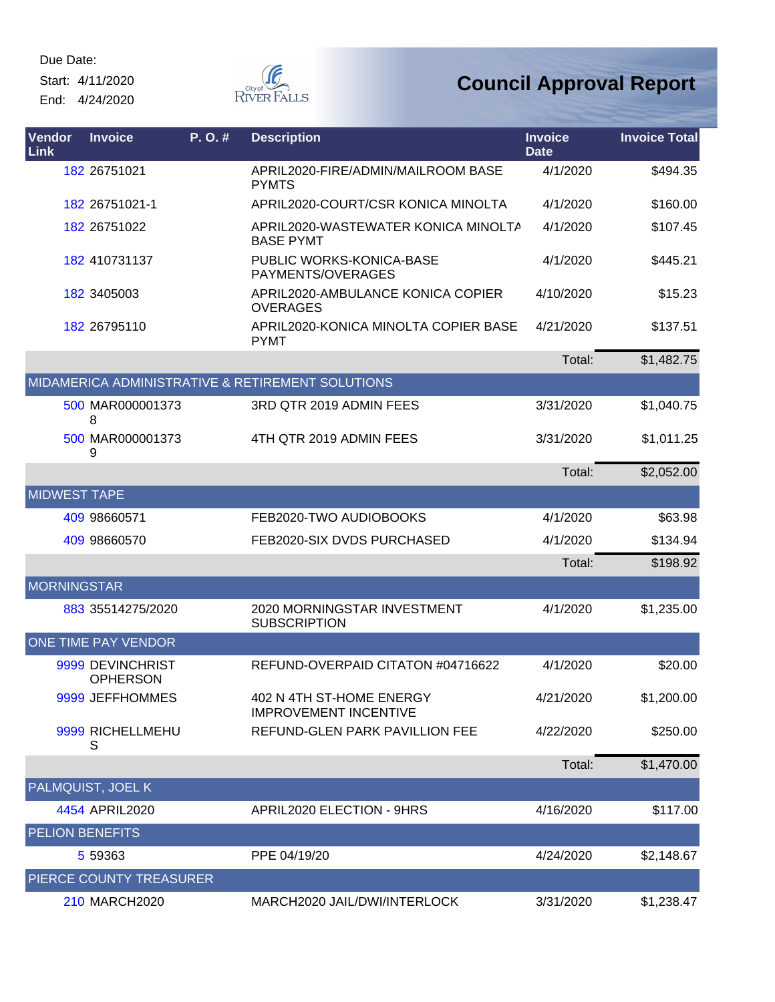Start: 4/11/2020 End: 4/24/2020



| Vendor<br><b>Link</b>  | <b>Invoice</b>                      | P. O. # | <b>Description</b>                                       | <b>Invoice</b><br><b>Date</b> | <b>Invoice Total</b> |
|------------------------|-------------------------------------|---------|----------------------------------------------------------|-------------------------------|----------------------|
|                        | 182 26751021                        |         | APRIL2020-FIRE/ADMIN/MAILROOM BASE<br><b>PYMTS</b>       | 4/1/2020                      | \$494.35             |
|                        | 182 26751021-1                      |         | APRIL2020-COURT/CSR KONICA MINOLTA                       | 4/1/2020                      | \$160.00             |
|                        | 182 26751022                        |         | APRIL2020-WASTEWATER KONICA MINOLTA<br><b>BASE PYMT</b>  | 4/1/2020                      | \$107.45             |
|                        | 182 410731137                       |         | <b>PUBLIC WORKS-KONICA-BASE</b><br>PAYMENTS/OVERAGES     | 4/1/2020                      | \$445.21             |
|                        | 182 3405003                         |         | APRIL2020-AMBULANCE KONICA COPIER<br><b>OVERAGES</b>     | 4/10/2020                     | \$15.23              |
|                        | 182 26795110                        |         | APRIL2020-KONICA MINOLTA COPIER BASE<br><b>PYMT</b>      | 4/21/2020                     | \$137.51             |
|                        |                                     |         |                                                          | Total:                        | \$1,482.75           |
|                        |                                     |         | MIDAMERICA ADMINISTRATIVE & RETIREMENT SOLUTIONS         |                               |                      |
|                        | 500 MAR000001373<br>8               |         | 3RD QTR 2019 ADMIN FEES                                  | 3/31/2020                     | \$1,040.75           |
|                        | 500 MAR000001373<br>9               |         | 4TH QTR 2019 ADMIN FEES                                  | 3/31/2020                     | \$1,011.25           |
|                        |                                     |         |                                                          | Total:                        | \$2,052.00           |
| <b>MIDWEST TAPE</b>    |                                     |         |                                                          |                               |                      |
|                        | 409 98660571                        |         | FEB2020-TWO AUDIOBOOKS                                   | 4/1/2020                      | \$63.98              |
|                        | 409 98660570                        |         | FEB2020-SIX DVDS PURCHASED                               | 4/1/2020                      | \$134.94             |
|                        |                                     |         |                                                          | Total:                        | \$198.92             |
| <b>MORNINGSTAR</b>     |                                     |         |                                                          |                               |                      |
|                        | 883 35514275/2020                   |         | 2020 MORNINGSTAR INVESTMENT<br><b>SUBSCRIPTION</b>       | 4/1/2020                      | \$1,235.00           |
|                        | ONE TIME PAY VENDOR                 |         |                                                          |                               |                      |
|                        | 9999 DEVINCHRIST<br><b>OPHERSON</b> |         | REFUND-OVERPAID CITATON #04716622                        | 4/1/2020                      | \$20.00              |
|                        | 9999 JEFFHOMMES                     |         | 402 N 4TH ST-HOME ENERGY<br><b>IMPROVEMENT INCENTIVE</b> | 4/21/2020                     | \$1,200.00           |
|                        | 9999 RICHELLMEHU<br>S               |         | REFUND-GLEN PARK PAVILLION FEE                           | 4/22/2020                     | \$250.00             |
|                        |                                     |         |                                                          | Total:                        | \$1,470.00           |
|                        | PALMQUIST, JOEL K                   |         |                                                          |                               |                      |
|                        | 4454 APRIL2020                      |         | APRIL2020 ELECTION - 9HRS                                | 4/16/2020                     | \$117.00             |
| <b>PELION BENEFITS</b> |                                     |         |                                                          |                               |                      |
|                        | 5 59363                             |         | PPE 04/19/20                                             | 4/24/2020                     | \$2,148.67           |
|                        | PIERCE COUNTY TREASURER             |         |                                                          |                               |                      |
|                        | 210 MARCH2020                       |         | MARCH2020 JAIL/DWI/INTERLOCK                             | 3/31/2020                     | \$1,238.47           |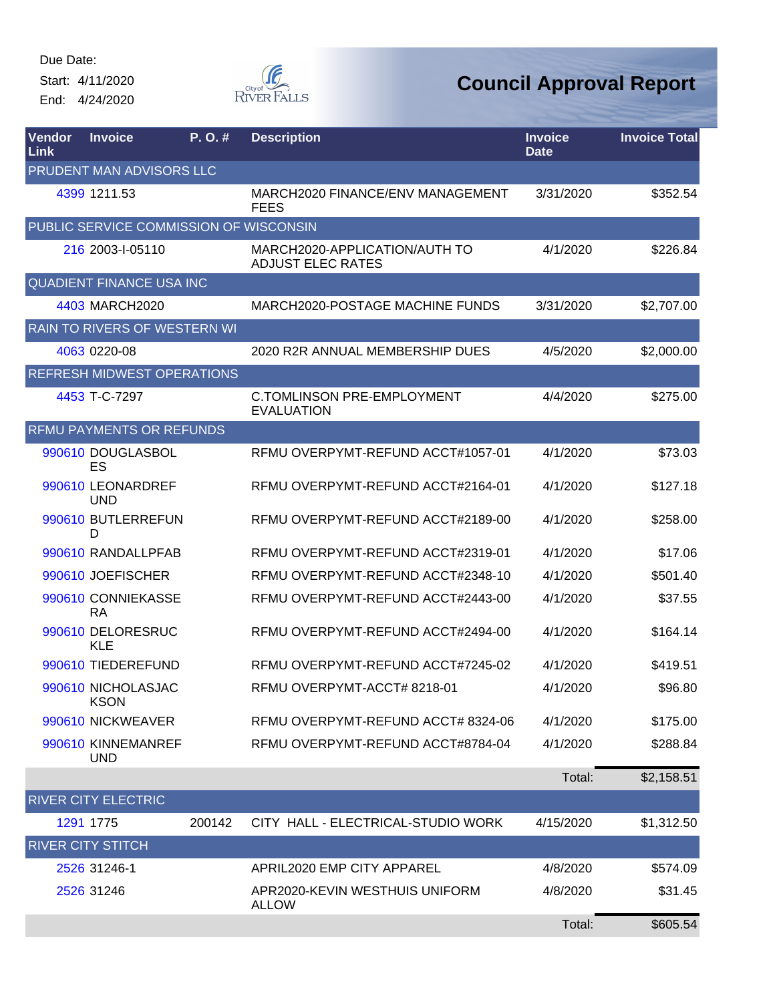Start: 4/11/2020 End: 4/24/2020



| Vendor<br>Link | <b>Invoice</b>                         | P.O.#  | <b>Description</b>                                        | <b>Invoice</b><br><b>Date</b> | <b>Invoice Total</b> |
|----------------|----------------------------------------|--------|-----------------------------------------------------------|-------------------------------|----------------------|
|                | PRUDENT MAN ADVISORS LLC               |        |                                                           |                               |                      |
|                | 4399 1211.53                           |        | MARCH2020 FINANCE/ENV MANAGEMENT<br><b>FEES</b>           | 3/31/2020                     | \$352.54             |
|                | PUBLIC SERVICE COMMISSION OF WISCONSIN |        |                                                           |                               |                      |
|                | 216 2003-I-05110                       |        | MARCH2020-APPLICATION/AUTH TO<br><b>ADJUST ELEC RATES</b> | 4/1/2020                      | \$226.84             |
|                | <b>QUADIENT FINANCE USA INC</b>        |        |                                                           |                               |                      |
|                | 4403 MARCH2020                         |        | MARCH2020-POSTAGE MACHINE FUNDS                           | 3/31/2020                     | \$2,707.00           |
|                | RAIN TO RIVERS OF WESTERN WI           |        |                                                           |                               |                      |
|                | 4063 0220-08                           |        | 2020 R2R ANNUAL MEMBERSHIP DUES                           | 4/5/2020                      | \$2,000.00           |
|                | <b>REFRESH MIDWEST OPERATIONS</b>      |        |                                                           |                               |                      |
|                | 4453 T-C-7297                          |        | <b>C.TOMLINSON PRE-EMPLOYMENT</b><br><b>EVALUATION</b>    | 4/4/2020                      | \$275.00             |
|                | <b>RFMU PAYMENTS OR REFUNDS</b>        |        |                                                           |                               |                      |
|                | 990610 DOUGLASBOL<br>ES                |        | RFMU OVERPYMT-REFUND ACCT#1057-01                         | 4/1/2020                      | \$73.03              |
|                | 990610 LEONARDREF<br><b>UND</b>        |        | RFMU OVERPYMT-REFUND ACCT#2164-01                         | 4/1/2020                      | \$127.18             |
|                | 990610 BUTLERREFUN<br>D                |        | RFMU OVERPYMT-REFUND ACCT#2189-00                         | 4/1/2020                      | \$258.00             |
|                | 990610 RANDALLPFAB                     |        | RFMU OVERPYMT-REFUND ACCT#2319-01                         | 4/1/2020                      | \$17.06              |
|                | 990610 JOEFISCHER                      |        | RFMU OVERPYMT-REFUND ACCT#2348-10                         | 4/1/2020                      | \$501.40             |
|                | 990610 CONNIEKASSE<br><b>RA</b>        |        | RFMU OVERPYMT-REFUND ACCT#2443-00                         | 4/1/2020                      | \$37.55              |
|                | 990610 DELORESRUC<br><b>KLE</b>        |        | RFMU OVERPYMT-REFUND ACCT#2494-00                         | 4/1/2020                      | \$164.14             |
|                | 990610 TIEDEREFUND                     |        | RFMU OVERPYMT-REFUND ACCT#7245-02                         | 4/1/2020                      | \$419.51             |
|                | 990610 NICHOLASJAC<br><b>KSON</b>      |        | RFMU OVERPYMT-ACCT#8218-01                                | 4/1/2020                      | \$96.80              |
|                | 990610 NICKWEAVER                      |        | RFMU OVERPYMT-REFUND ACCT# 8324-06                        | 4/1/2020                      | \$175.00             |
|                | 990610 KINNEMANREF<br><b>UND</b>       |        | RFMU OVERPYMT-REFUND ACCT#8784-04                         | 4/1/2020                      | \$288.84             |
|                |                                        |        |                                                           | Total:                        | \$2,158.51           |
|                | <b>RIVER CITY ELECTRIC</b>             |        |                                                           |                               |                      |
|                | 1291 1775                              | 200142 | CITY HALL - ELECTRICAL-STUDIO WORK                        | 4/15/2020                     | \$1,312.50           |
|                | <b>RIVER CITY STITCH</b>               |        |                                                           |                               |                      |
|                | 2526 31246-1                           |        | APRIL2020 EMP CITY APPAREL                                | 4/8/2020                      | \$574.09             |
|                | 2526 31246                             |        | APR2020-KEVIN WESTHUIS UNIFORM<br><b>ALLOW</b>            | 4/8/2020                      | \$31.45              |
|                |                                        |        |                                                           | Total:                        | \$605.54             |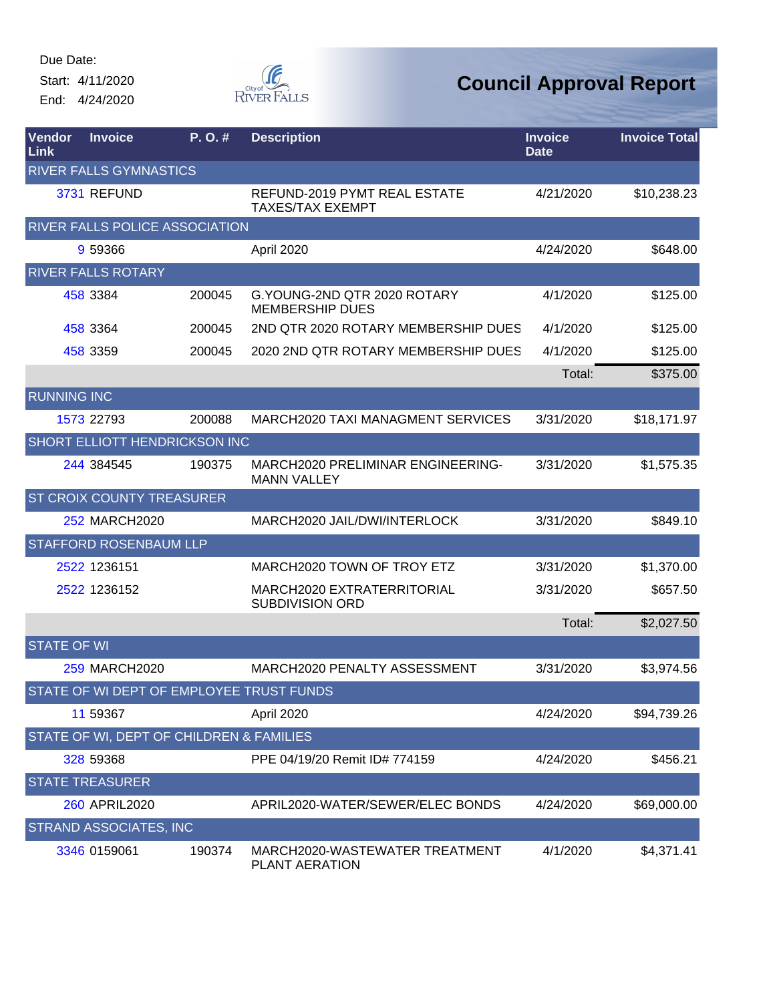Start: 4/11/2020 End: 4/24/2020



| <b>Vendor</b><br>Link | <b>Invoice</b>                           | $P. O.$ # | <b>Description</b>                                      | <b>Invoice</b><br><b>Date</b> | <b>Invoice Total</b> |
|-----------------------|------------------------------------------|-----------|---------------------------------------------------------|-------------------------------|----------------------|
|                       | <b>RIVER FALLS GYMNASTICS</b>            |           |                                                         |                               |                      |
|                       | 3731 REFUND                              |           | REFUND-2019 PYMT REAL ESTATE<br><b>TAXES/TAX EXEMPT</b> | 4/21/2020                     | \$10,238.23          |
|                       | RIVER FALLS POLICE ASSOCIATION           |           |                                                         |                               |                      |
|                       | 9 59366                                  |           | April 2020                                              | 4/24/2020                     | \$648.00             |
|                       | <b>RIVER FALLS ROTARY</b>                |           |                                                         |                               |                      |
|                       | 458 3384                                 | 200045    | G.YOUNG-2ND QTR 2020 ROTARY<br><b>MEMBERSHIP DUES</b>   | 4/1/2020                      | \$125.00             |
|                       | 458 3364                                 | 200045    | 2ND QTR 2020 ROTARY MEMBERSHIP DUES                     | 4/1/2020                      | \$125.00             |
|                       | 458 3359                                 | 200045    | 2020 2ND QTR ROTARY MEMBERSHIP DUES                     | 4/1/2020                      | \$125.00             |
|                       |                                          |           |                                                         | Total:                        | \$375.00             |
| <b>RUNNING INC</b>    |                                          |           |                                                         |                               |                      |
|                       | 1573 22793                               | 200088    | MARCH2020 TAXI MANAGMENT SERVICES                       | 3/31/2020                     | \$18,171.97          |
|                       | SHORT ELLIOTT HENDRICKSON INC            |           |                                                         |                               |                      |
|                       | 244 384545                               | 190375    | MARCH2020 PRELIMINAR ENGINEERING-<br><b>MANN VALLEY</b> | 3/31/2020                     | \$1,575.35           |
|                       | <b>ST CROIX COUNTY TREASURER</b>         |           |                                                         |                               |                      |
|                       | 252 MARCH2020                            |           | MARCH2020 JAIL/DWI/INTERLOCK                            | 3/31/2020                     | \$849.10             |
|                       | STAFFORD ROSENBAUM LLP                   |           |                                                         |                               |                      |
|                       | 2522 1236151                             |           | MARCH2020 TOWN OF TROY ETZ                              | 3/31/2020                     | \$1,370.00           |
|                       | 2522 1236152                             |           | MARCH2020 EXTRATERRITORIAL<br><b>SUBDIVISION ORD</b>    | 3/31/2020                     | \$657.50             |
|                       |                                          |           |                                                         | Total:                        | \$2,027.50           |
| <b>STATE OF WI</b>    |                                          |           |                                                         |                               |                      |
|                       | <b>259 MARCH2020</b>                     |           | MARCH2020 PENALTY ASSESSMENT                            | 3/31/2020                     | \$3,974.56           |
|                       | STATE OF WI DEPT OF EMPLOYEE TRUST FUNDS |           |                                                         |                               |                      |
|                       | 11 59367                                 |           | April 2020                                              | 4/24/2020                     | \$94,739.26          |
|                       | STATE OF WI, DEPT OF CHILDREN & FAMILIES |           |                                                         |                               |                      |
|                       | 328 59368                                |           | PPE 04/19/20 Remit ID# 774159                           | 4/24/2020                     | \$456.21             |
|                       | <b>STATE TREASURER</b>                   |           |                                                         |                               |                      |
|                       | 260 APRIL2020                            |           | APRIL2020-WATER/SEWER/ELEC BONDS                        | 4/24/2020                     | \$69,000.00          |
|                       | STRAND ASSOCIATES, INC                   |           |                                                         |                               |                      |
|                       | 3346 0159061                             | 190374    | MARCH2020-WASTEWATER TREATMENT<br>PLANT AERATION        | 4/1/2020                      | \$4,371.41           |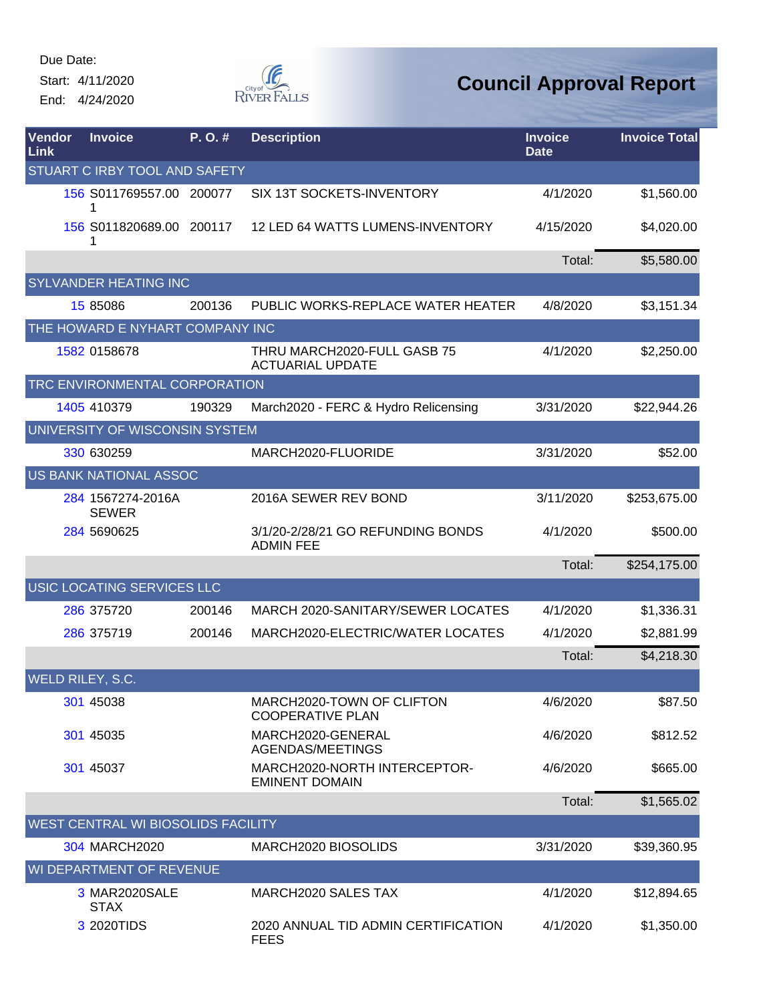Start: 4/11/2020 End: 4/24/2020



| <b>Vendor</b><br>Link              | <b>Invoice</b>                    | P.O.#  | <b>Description</b>                                     | <b>Invoice</b><br><b>Date</b> | <b>Invoice Total</b> |  |
|------------------------------------|-----------------------------------|--------|--------------------------------------------------------|-------------------------------|----------------------|--|
| STUART C IRBY TOOL AND SAFETY      |                                   |        |                                                        |                               |                      |  |
|                                    | 156 S011769557.00 200077          |        | SIX 13T SOCKETS-INVENTORY                              | 4/1/2020                      | \$1,560.00           |  |
|                                    | 156 S011820689.00 200117          |        | 12 LED 64 WATTS LUMENS-INVENTORY                       | 4/15/2020                     | \$4,020.00           |  |
|                                    |                                   |        |                                                        | Total:                        | \$5,580.00           |  |
|                                    | SYLVANDER HEATING INC             |        |                                                        |                               |                      |  |
|                                    | 15 85086                          | 200136 | PUBLIC WORKS-REPLACE WATER HEATER                      | 4/8/2020                      | \$3,151.34           |  |
|                                    | THE HOWARD E NYHART COMPANY INC   |        |                                                        |                               |                      |  |
|                                    | 1582 0158678                      |        | THRU MARCH2020-FULL GASB 75<br><b>ACTUARIAL UPDATE</b> | 4/1/2020                      | \$2,250.00           |  |
|                                    | TRC ENVIRONMENTAL CORPORATION     |        |                                                        |                               |                      |  |
|                                    | 1405 410379                       | 190329 | March2020 - FERC & Hydro Relicensing                   | 3/31/2020                     | \$22,944.26          |  |
|                                    | UNIVERSITY OF WISCONSIN SYSTEM    |        |                                                        |                               |                      |  |
|                                    | 330 630259                        |        | MARCH2020-FLUORIDE                                     | 3/31/2020                     | \$52.00              |  |
|                                    | <b>US BANK NATIONAL ASSOC</b>     |        |                                                        |                               |                      |  |
|                                    | 284 1567274-2016A<br><b>SEWER</b> |        | 2016A SEWER REV BOND                                   | 3/11/2020                     | \$253,675.00         |  |
|                                    | 284 5690625                       |        | 3/1/20-2/28/21 GO REFUNDING BONDS<br><b>ADMIN FEE</b>  | 4/1/2020                      | \$500.00             |  |
|                                    |                                   |        |                                                        | Total:                        | \$254,175.00         |  |
|                                    | USIC LOCATING SERVICES LLC        |        |                                                        |                               |                      |  |
|                                    | 286 375720                        | 200146 | MARCH 2020-SANITARY/SEWER LOCATES                      | 4/1/2020                      | \$1,336.31           |  |
|                                    | 286 375719                        | 200146 | MARCH2020-ELECTRIC/WATER LOCATES                       | 4/1/2020                      | \$2,881.99           |  |
|                                    |                                   |        |                                                        | Total:                        | \$4,218.30           |  |
|                                    | WELD RILEY, S.C.                  |        |                                                        |                               |                      |  |
|                                    | 301 45038                         |        | MARCH2020-TOWN OF CLIFTON<br><b>COOPERATIVE PLAN</b>   | 4/6/2020                      | \$87.50              |  |
|                                    | 301 45035                         |        | MARCH2020-GENERAL<br>AGENDAS/MEETINGS                  | 4/6/2020                      | \$812.52             |  |
|                                    | 301 45037                         |        | MARCH2020-NORTH INTERCEPTOR-<br><b>EMINENT DOMAIN</b>  | 4/6/2020                      | \$665.00             |  |
|                                    |                                   |        |                                                        | Total:                        | \$1,565.02           |  |
| WEST CENTRAL WI BIOSOLIDS FACILITY |                                   |        |                                                        |                               |                      |  |
|                                    | 304 MARCH2020                     |        | MARCH2020 BIOSOLIDS                                    | 3/31/2020                     | \$39,360.95          |  |
|                                    | WI DEPARTMENT OF REVENUE          |        |                                                        |                               |                      |  |
|                                    | 3 MAR2020SALE<br><b>STAX</b>      |        | MARCH2020 SALES TAX                                    | 4/1/2020                      | \$12,894.65          |  |
|                                    | 3 2020TIDS                        |        | 2020 ANNUAL TID ADMIN CERTIFICATION<br><b>FEES</b>     | 4/1/2020                      | \$1,350.00           |  |